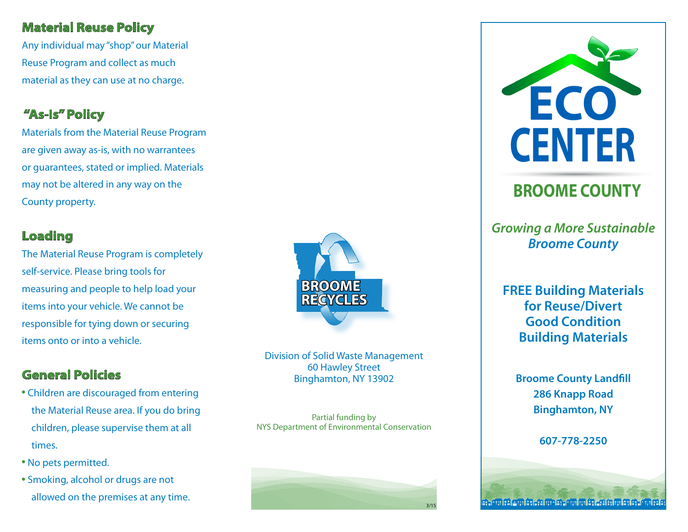#### **Material Reuse Policy**

Any individual may "shop" our Material Reuse Program and collect as much material as they can use at no charge.

## **"As-Is" Policy**

Materials from the Material Reuse Program are given away as-is, with no warrantees or guarantees, stated or implied. Materials may not be altered in any way on the County property.

#### **Loading**

The Material Reuse Program is completely self-service. Please bring tools for measuring and people to help load your items into your vehicle. We cannot be responsible for tying down or securing items onto or into a vehicle.

## **General Policies**

- Children are discouraged from entering the Material Reuse area. If you do bring children, please supervise them at all times.
- No pets permitted.
- Smoking, alcohol or drugs are not allowed on the premises at any time.



Division of Solid Waste Management 60 Hawley Street Binghamton, NY 13902

Partial funding by NYS Department of Environmental Conservation





# **BROOME COUNTY**

*Growing a More Sustainable Broome County*

**FREE Building Materials for Reuse/Divert Good Condition Building Materials**

**Broome County Landfill 286 Knapp Road Binghamton, NY**

**607-778-2250**